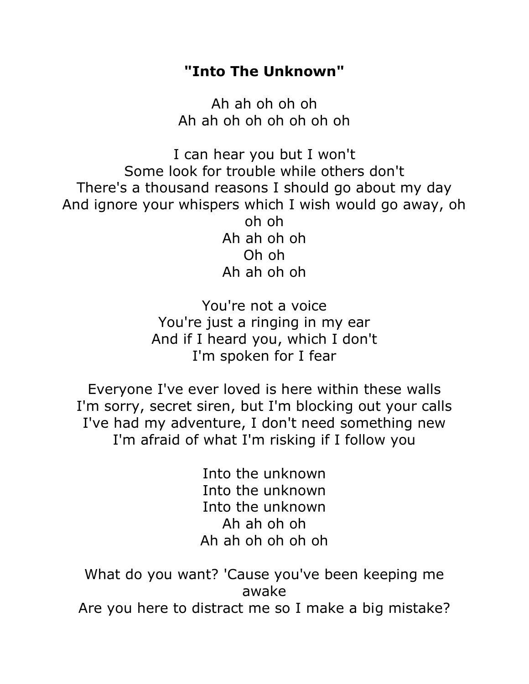## **"Into The Unknown"**

Ah ah oh oh oh Ah ah oh oh oh oh oh oh

I can hear you but I won't Some look for trouble while others don't There's a thousand reasons I should go about my day And ignore your whispers which I wish would go away, oh oh oh Ah ah oh oh Oh oh Ah ah oh oh

> You're not a voice You're just a ringing in my ear And if I heard you, which I don't I'm spoken for I fear

Everyone I've ever loved is here within these walls I'm sorry, secret siren, but I'm blocking out your calls I've had my adventure, I don't need something new I'm afraid of what I'm risking if I follow you

> Into the unknown Into the unknown Into the unknown Ah ah oh oh Ah ah oh oh oh oh

What do you want? 'Cause you've been keeping me awake Are you here to distract me so I make a big mistake?